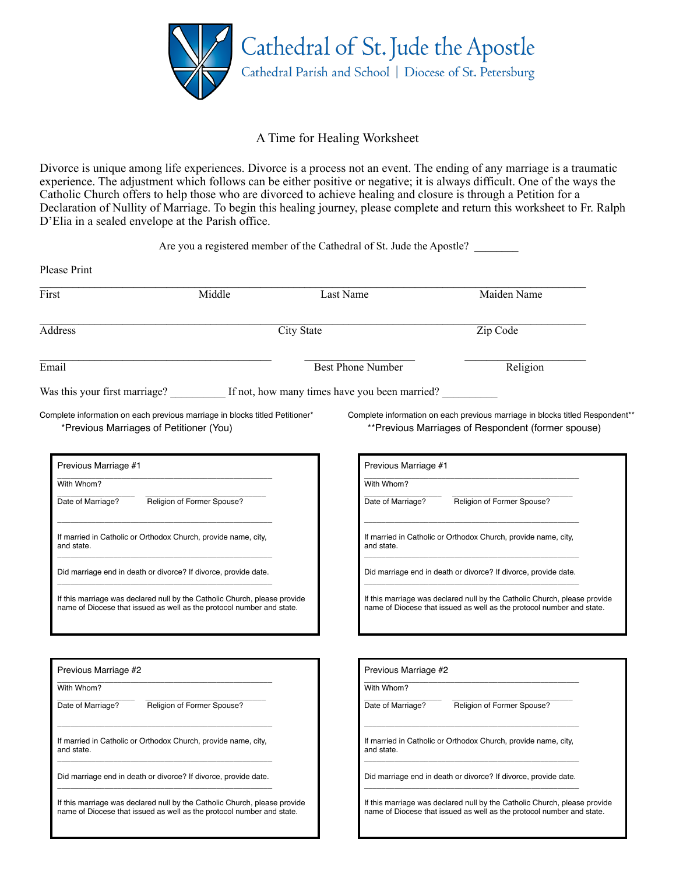

## A Time for Healing Worksheet

Divorce is unique among life experiences. Divorce is a process not an event. The ending of any marriage is a traumatic experience. The adjustment which follows can be either positive or negative; it is always difficult. One of the ways the Catholic Church offers to help those who are divorced to achieve healing and closure is through a Petition for a Declaration of Nullity of Marriage. To begin this healing journey, please complete and return this worksheet to Fr. Ralph D'Elia in a sealed envelope at the Parish office.

Are you a registered member of the Cathedral of St. Jude the Apostle?

| First                                                                                                                                              | Middle                     |                          | Last Name                                                                    | Maiden Name                                                                                                                                        |  |
|----------------------------------------------------------------------------------------------------------------------------------------------------|----------------------------|--------------------------|------------------------------------------------------------------------------|----------------------------------------------------------------------------------------------------------------------------------------------------|--|
| Address                                                                                                                                            |                            | City State               |                                                                              | Zip Code                                                                                                                                           |  |
| Email                                                                                                                                              |                            | <b>Best Phone Number</b> |                                                                              | Religion                                                                                                                                           |  |
| Was this your first marriage? If not, how many times have you been married?                                                                        |                            |                          |                                                                              |                                                                                                                                                    |  |
| Complete information on each previous marriage in blocks titled Petitioner*<br>*Previous Marriages of Petitioner (You)                             |                            |                          |                                                                              | Complete information on each previous marriage in blocks titled Respondent**<br>**Previous Marriages of Respondent (former spouse)                 |  |
| Previous Marriage #1                                                                                                                               |                            |                          | Previous Marriage #1                                                         |                                                                                                                                                    |  |
| With Whom?                                                                                                                                         |                            |                          | With Whom?                                                                   |                                                                                                                                                    |  |
| Date of Marriage?                                                                                                                                  | Religion of Former Spouse? |                          | Date of Marriage?                                                            | Religion of Former Spouse?                                                                                                                         |  |
| If married in Catholic or Orthodox Church, provide name, city,<br>and state.                                                                       |                            |                          | If married in Catholic or Orthodox Church, provide name, city,<br>and state. |                                                                                                                                                    |  |
| Did marriage end in death or divorce? If divorce, provide date.                                                                                    |                            |                          |                                                                              | Did marriage end in death or divorce? If divorce, provide date.                                                                                    |  |
| If this marriage was declared null by the Catholic Church, please provide<br>name of Diocese that issued as well as the protocol number and state. |                            |                          |                                                                              | If this marriage was declared null by the Catholic Church, please provide<br>name of Diocese that issued as well as the protocol number and state. |  |
|                                                                                                                                                    |                            |                          |                                                                              |                                                                                                                                                    |  |
| Previous Marriage #2                                                                                                                               |                            |                          |                                                                              | Previous Marriage #2                                                                                                                               |  |
| With Whom?                                                                                                                                         |                            |                          | With Whom?                                                                   |                                                                                                                                                    |  |
| Date of Marriage?                                                                                                                                  | Religion of Former Spouse? |                          | Date of Marriage?                                                            | Religion of Former Spouse?                                                                                                                         |  |
| If married in Catholic or Orthodox Church, provide name, city,<br>and state.                                                                       |                            |                          | and state.                                                                   | If married in Catholic or Orthodox Church, provide name, city,                                                                                     |  |
| Did marriage end in death or divorce? If divorce, provide date.                                                                                    |                            |                          |                                                                              | Did marriage end in death or divorce? If divorce, provide date.                                                                                    |  |
| If this marriage was declared null by the Catholic Church, please provide                                                                          |                            |                          |                                                                              | If this marriage was declared null by the Catholic Church, please provide                                                                          |  |